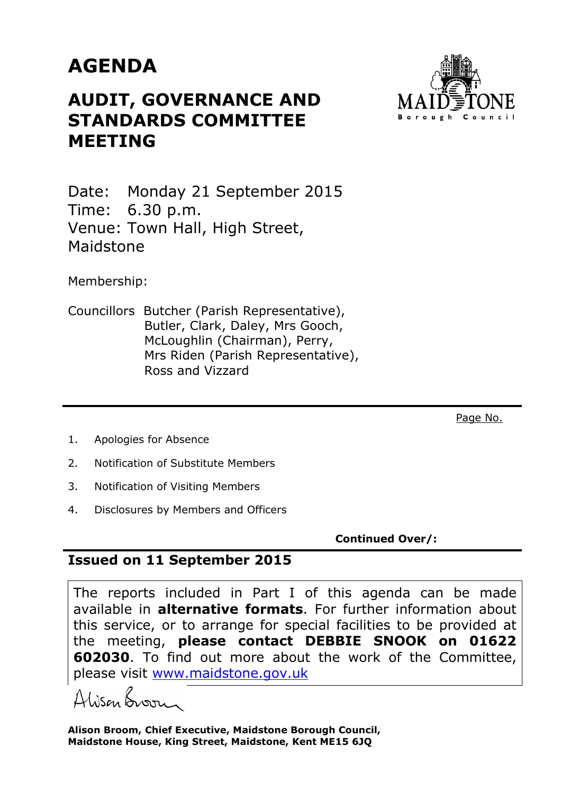## **AGENDA**

## **AUDIT, GOVERNANCE AND STANDARDS COMMITTEE MEETING**



Date: Monday 21 September 2015 Time: 6.30 p.m. Venue: Town Hall, High Street, Maidstone

Membership:

Councillors Butcher (Parish Representative), Butler, Clark, Daley, Mrs Gooch, McLoughlin (Chairman), Perry, Mrs Riden (Parish Representative), Ross and Vizzard

Page No.

- 1. Apologies for Absence
- 2. Notification of Substitute Members
- 3. Notification of Visiting Members
- 4. Disclosures by Members and Officers

**Continued Over/:** 

## **Issued on 11 September 2015**

The reports included in Part I of this agenda can be made available in **alternative formats**. For further information about this service, or to arrange for special facilities to be provided at the meeting, **please contact DEBBIE SNOOK on 01622 602030**. To find out more about the work of the Committee, please visit www.maidstone.gov.uk

Alisan Boorn

**Alison Broom, Chief Executive, Maidstone Borough Council, Maidstone House, King Street, Maidstone, Kent ME15 6JQ**